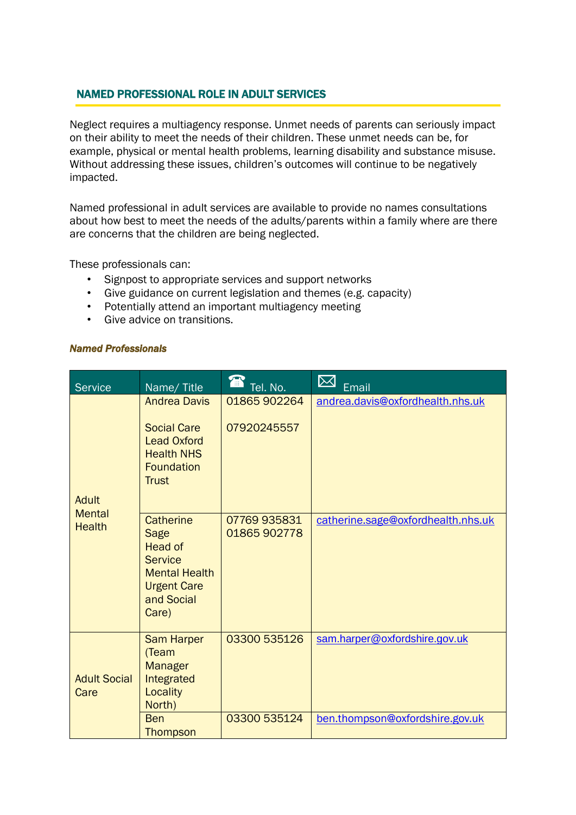## NAMED PROFESSIONAL ROLE IN ADULT SERVICES

Neglect requires a multiagency response. Unmet needs of parents can seriously impact on their ability to meet the needs of their children. These unmet needs can be, for example, physical or mental health problems, learning disability and substance misuse. Without addressing these issues, children's outcomes will continue to be negatively impacted.

Named professional in adult services are available to provide no names consultations about how best to meet the needs of the adults/parents within a family where are there are concerns that the children are being neglected.

These professionals can:

- Signpost to appropriate services and support networks
- Give guidance on current legislation and themes (e.g. capacity)
- Potentially attend an important multiagency meeting
- Give advice on transitions.

## *Named Professionals*

| <b>Service</b>                          | Name/Title                                                                                                                        | T<br>Tel. No.                | $\boxtimes$<br>Email               |
|-----------------------------------------|-----------------------------------------------------------------------------------------------------------------------------------|------------------------------|------------------------------------|
| Adult<br><b>Mental</b><br><b>Health</b> | <b>Andrea Davis</b><br><b>Social Care</b><br><b>Lead Oxford</b><br><b>Health NHS</b><br><b>Foundation</b><br>Trust                | 01865 902264<br>07920245557  | andrea.davis@oxfordhealth.nhs.uk   |
|                                         | <b>Catherine</b><br>Sage<br><b>Head of</b><br><b>Service</b><br><b>Mental Health</b><br><b>Urgent Care</b><br>and Social<br>Care) | 07769 935831<br>01865 902778 | catherine.sage@oxfordhealth.nhs.uk |
| <b>Adult Social</b><br>Care             | <b>Sam Harper</b><br>(Team<br><b>Manager</b><br>Integrated<br>Locality<br>North)                                                  | 03300 535126                 | sam.harper@oxfordshire.gov.uk      |
|                                         | <b>Ben</b><br>Thompson                                                                                                            | 03300 535124                 | ben.thompson@oxfordshire.gov.uk    |